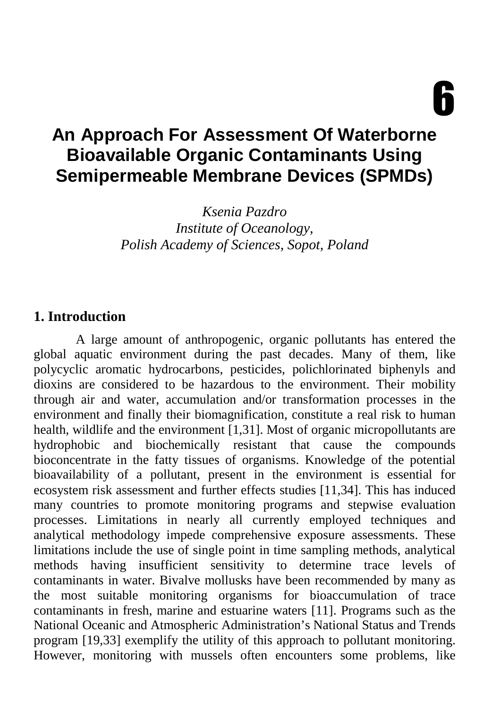6

# **An Approach For Assessment Of Waterborne Bioavailable Organic Contaminants Using Semipermeable Membrane Devices (SPMDs)**

*Ksenia Pazdro Institute of Oceanology, Polish Academy of Sciences, Sopot, Poland* 

### **1. Introduction**

A large amount of anthropogenic, organic pollutants has entered the global aquatic environment during the past decades. Many of them, like polycyclic aromatic hydrocarbons, pesticides, polichlorinated biphenyls and dioxins are considered to be hazardous to the environment. Their mobility through air and water, accumulation and/or transformation processes in the environment and finally their biomagnification, constitute a real risk to human health, wildlife and the environment [1,31]. Most of organic micropollutants are hydrophobic and biochemically resistant that cause the compounds bioconcentrate in the fatty tissues of organisms. Knowledge of the potential bioavailability of a pollutant, present in the environment is essential for ecosystem risk assessment and further effects studies [11,34]. This has induced many countries to promote monitoring programs and stepwise evaluation processes. Limitations in nearly all currently employed techniques and analytical methodology impede comprehensive exposure assessments. These limitations include the use of single point in time sampling methods, analytical methods having insufficient sensitivity to determine trace levels of contaminants in water. Bivalve mollusks have been recommended by many as the most suitable monitoring organisms for bioaccumulation of trace contaminants in fresh, marine and estuarine waters [11]. Programs such as the National Oceanic and Atmospheric Administration's National Status and Trends program [19,33] exemplify the utility of this approach to pollutant monitoring. However, monitoring with mussels often encounters some problems, like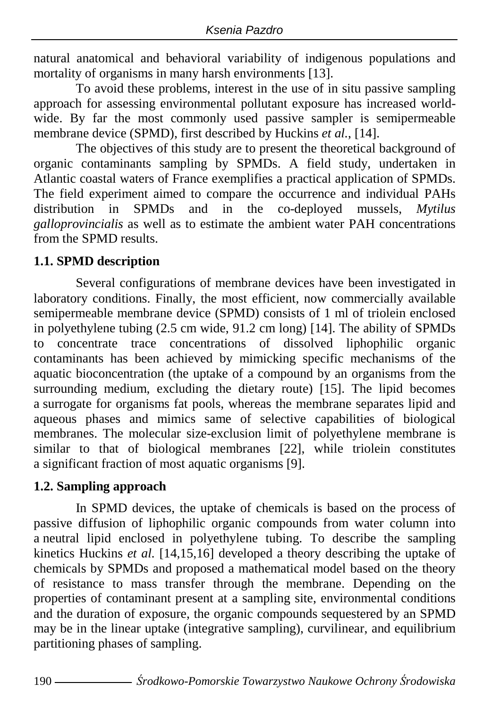natural anatomical and behavioral variability of indigenous populations and mortality of organisms in many harsh environments [13].

To avoid these problems, interest in the use of in situ passive sampling approach for assessing environmental pollutant exposure has increased worldwide. By far the most commonly used passive sampler is semipermeable membrane device (SPMD), first described by Huckins *et al.*, [14].

The objectives of this study are to present the theoretical background of organic contaminants sampling by SPMDs. A field study, undertaken in Atlantic coastal waters of France exemplifies a practical application of SPMDs. The field experiment aimed to compare the occurrence and individual PAHs distribution in SPMDs and in the co-deployed mussels, *Mytilus galloprovincialis* as well as to estimate the ambient water PAH concentrations from the SPMD results.

## **1.1. SPMD description**

Several configurations of membrane devices have been investigated in laboratory conditions. Finally, the most efficient, now commercially available semipermeable membrane device (SPMD) consists of 1 ml of triolein enclosed in polyethylene tubing (2.5 cm wide, 91.2 cm long) [14]. The ability of SPMDs to concentrate trace concentrations of dissolved liphophilic organic contaminants has been achieved by mimicking specific mechanisms of the aquatic bioconcentration (the uptake of a compound by an organisms from the surrounding medium, excluding the dietary route) [15]. The lipid becomes a surrogate for organisms fat pools, whereas the membrane separates lipid and aqueous phases and mimics same of selective capabilities of biological membranes. The molecular size-exclusion limit of polyethylene membrane is similar to that of biological membranes [22], while triolein constitutes a significant fraction of most aquatic organisms [9].

## **1.2. Sampling approach**

In SPMD devices, the uptake of chemicals is based on the process of passive diffusion of liphophilic organic compounds from water column into a neutral lipid enclosed in polyethylene tubing. To describe the sampling kinetics Huckins *et al.* [14,15,16] developed a theory describing the uptake of chemicals by SPMDs and proposed a mathematical model based on the theory of resistance to mass transfer through the membrane. Depending on the properties of contaminant present at a sampling site, environmental conditions and the duration of exposure, the organic compounds sequestered by an SPMD may be in the linear uptake (integrative sampling), curvilinear, and equilibrium partitioning phases of sampling.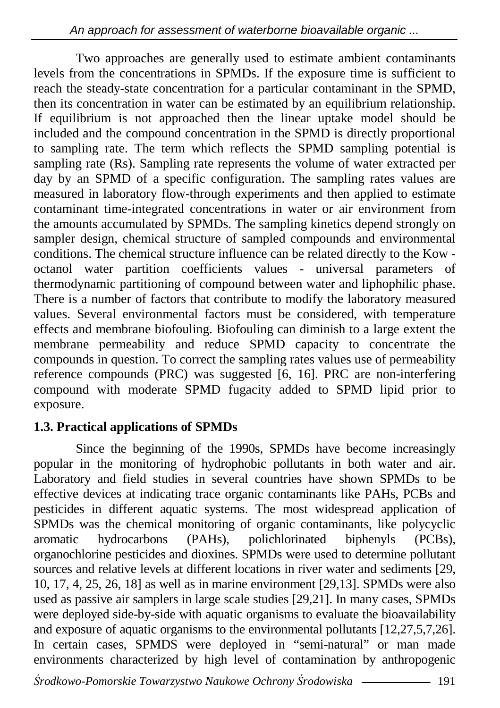Two approaches are generally used to estimate ambient contaminants levels from the concentrations in SPMDs. If the exposure time is sufficient to reach the steady-state concentration for a particular contaminant in the SPMD, then its concentration in water can be estimated by an equilibrium relationship. If equilibrium is not approached then the linear uptake model should be included and the compound concentration in the SPMD is directly proportional to sampling rate. The term which reflects the SPMD sampling potential is sampling rate (Rs). Sampling rate represents the volume of water extracted per day by an SPMD of a specific configuration. The sampling rates values are measured in laboratory flow-through experiments and then applied to estimate contaminant time-integrated concentrations in water or air environment from the amounts accumulated by SPMDs. The sampling kinetics depend strongly on sampler design, chemical structure of sampled compounds and environmental conditions. The chemical structure influence can be related directly to the Kow octanol water partition coefficients values - universal parameters of thermodynamic partitioning of compound between water and liphophilic phase. There is a number of factors that contribute to modify the laboratory measured values. Several environmental factors must be considered, with temperature effects and membrane biofouling. Biofouling can diminish to a large extent the membrane permeability and reduce SPMD capacity to concentrate the compounds in question. To correct the sampling rates values use of permeability reference compounds (PRC) was suggested [6, 16]. PRC are non-interfering compound with moderate SPMD fugacity added to SPMD lipid prior to exposure.

## **1.3. Practical applications of SPMDs**

Since the beginning of the 1990s, SPMDs have become increasingly popular in the monitoring of hydrophobic pollutants in both water and air. Laboratory and field studies in several countries have shown SPMDs to be effective devices at indicating trace organic contaminants like PAHs, PCBs and pesticides in different aquatic systems. The most widespread application of SPMDs was the chemical monitoring of organic contaminants, like polycyclic aromatic hydrocarbons (PAHs), polichlorinated biphenyls (PCBs), aromatic hydrocarbons (PAHs), polichlorinated biphenyls (PCBs), organochlorine pesticides and dioxines. SPMDs were used to determine pollutant sources and relative levels at different locations in river water and sediments [29, 10, 17, 4, 25, 26, 18] as well as in marine environment [29,13]. SPMDs were also used as passive air samplers in large scale studies [29,21]. In many cases, SPMDs were deployed side-by-side with aquatic organisms to evaluate the bioavailability and exposure of aquatic organisms to the environmental pollutants [12,27,5,7,26]. In certain cases, SPMDS were deployed in "semi-natural" or man made environments characterized by high level of contamination by anthropogenic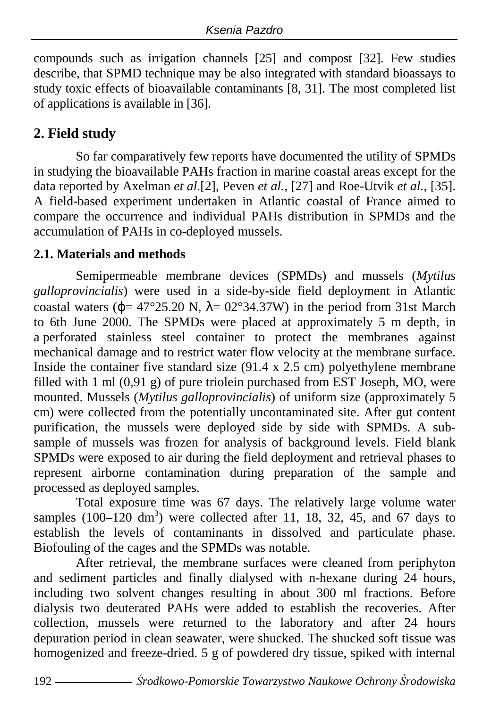compounds such as irrigation channels [25] and compost [32]. Few studies describe, that SPMD technique may be also integrated with standard bioassays to study toxic effects of bioavailable contaminants [8, 31]. The most completed list of applications is available in [36].

## **2. Field study**

So far comparatively few reports have documented the utility of SPMDs in studying the bioavailable PAHs fraction in marine coastal areas except for the data reported by Axelman *et al.*[2], Peven *et al.*, [27] and Roe-Utvik *et al.*, [35]. A field-based experiment undertaken in Atlantic coastal of France aimed to compare the occurrence and individual PAHs distribution in SPMDs and the accumulation of PAHs in co-deployed mussels.

## **2.1. Materials and methods**

Semipermeable membrane devices (SPMDs) and mussels (*Mytilus galloprovincialis*) were used in a side-by-side field deployment in Atlantic coastal waters ( $\phi$ = 47°25.20 N,  $\lambda$ = 02°34.37W) in the period from 31st March to 6th June 2000. The SPMDs were placed at approximately 5 m depth, in a perforated stainless steel container to protect the membranes against mechanical damage and to restrict water flow velocity at the membrane surface. Inside the container five standard size  $(91.4 \times 2.5 \text{ cm})$  polyethylene membrane filled with 1 ml (0,91 g) of pure triolein purchased from EST Joseph, MO, were mounted. Mussels (*Mytilus galloprovincialis*) of uniform size (approximately 5 cm) were collected from the potentially uncontaminated site. After gut content purification, the mussels were deployed side by side with SPMDs. A subsample of mussels was frozen for analysis of background levels. Field blank SPMDs were exposed to air during the field deployment and retrieval phases to represent airborne contamination during preparation of the sample and processed as deployed samples.

Total exposure time was 67 days. The relatively large volume water samples  $(100-120 \text{ dm}^3)$  were collected after 11, 18, 32, 45, and 67 days to establish the levels of contaminants in dissolved and particulate phase. Biofouling of the cages and the SPMDs was notable.

After retrieval, the membrane surfaces were cleaned from periphyton and sediment particles and finally dialysed with n-hexane during 24 hours, including two solvent changes resulting in about 300 ml fractions. Before dialysis two deuterated PAHs were added to establish the recoveries. After collection, mussels were returned to the laboratory and after 24 hours depuration period in clean seawater, were shucked. The shucked soft tissue was homogenized and freeze-dried. 5 g of powdered dry tissue, spiked with internal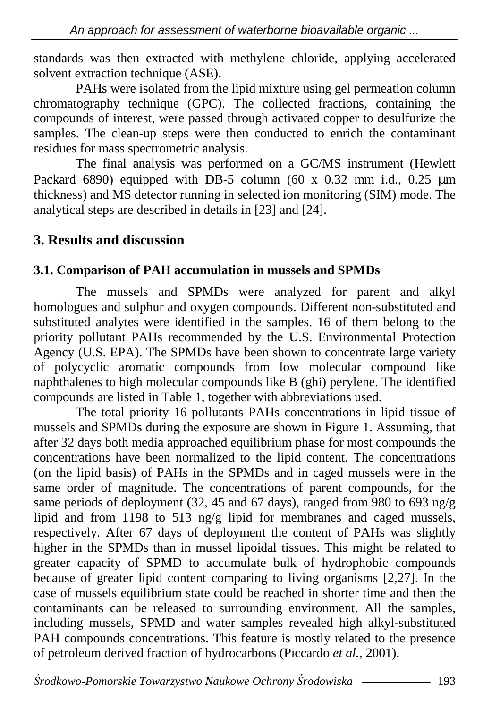standards was then extracted with methylene chloride, applying accelerated solvent extraction technique (ASE).

PAHs were isolated from the lipid mixture using gel permeation column chromatography technique (GPC). The collected fractions, containing the compounds of interest, were passed through activated copper to desulfurize the samples. The clean-up steps were then conducted to enrich the contaminant residues for mass spectrometric analysis.

The final analysis was performed on a GC/MS instrument (Hewlett Packard 6890) equipped with DB-5 column (60 x 0.32 mm i.d., 0.25  $\mu$ m thickness) and MS detector running in selected ion monitoring (SIM) mode. The analytical steps are described in details in [23] and [24].

## **3. Results and discussion**

## **3.1. Comparison of PAH accumulation in mussels and SPMDs**

The mussels and SPMDs were analyzed for parent and alkyl homologues and sulphur and oxygen compounds. Different non-substituted and substituted analytes were identified in the samples. 16 of them belong to the priority pollutant PAHs recommended by the U.S. Environmental Protection Agency (U.S. EPA). The SPMDs have been shown to concentrate large variety of polycyclic aromatic compounds from low molecular compound like naphthalenes to high molecular compounds like B (ghi) perylene. The identified compounds are listed in Table 1, together with abbreviations used.

The total priority 16 pollutants PAHs concentrations in lipid tissue of mussels and SPMDs during the exposure are shown in Figure 1. Assuming, that after 32 days both media approached equilibrium phase for most compounds the concentrations have been normalized to the lipid content. The concentrations (on the lipid basis) of PAHs in the SPMDs and in caged mussels were in the same order of magnitude. The concentrations of parent compounds, for the same periods of deployment (32, 45 and 67 days), ranged from 980 to 693 ng/g lipid and from 1198 to 513 ng/g lipid for membranes and caged mussels, respectively. After 67 days of deployment the content of PAHs was slightly higher in the SPMDs than in mussel lipoidal tissues. This might be related to greater capacity of SPMD to accumulate bulk of hydrophobic compounds because of greater lipid content comparing to living organisms [2,27]. In the case of mussels equilibrium state could be reached in shorter time and then the contaminants can be released to surrounding environment. All the samples, including mussels, SPMD and water samples revealed high alkyl-substituted PAH compounds concentrations. This feature is mostly related to the presence of petroleum derived fraction of hydrocarbons (Piccardo *et al.*, 2001).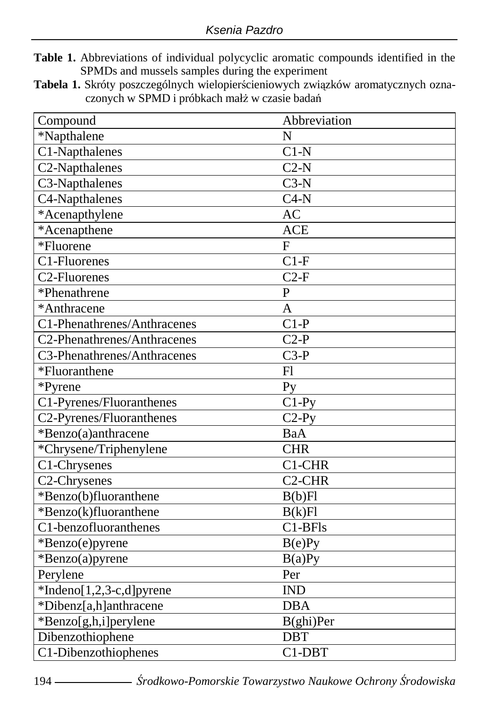- **Table 1.** Abbreviations of individual polycyclic aromatic compounds identified in the SPMDs and mussels samples during the experiment
- **Tabela 1.** Skróty poszczególnych wielopierścieniowych związków aromatycznych oznaczonych w SPMD i próbkach małż w czasie badań

| Compound                    | Abbreviation        |
|-----------------------------|---------------------|
| *Napthalene                 | N                   |
| C1-Napthalenes              | $C1-N$              |
| C2-Napthalenes              | $C2-N$              |
| C3-Napthalenes              | $C3-N$              |
| C4-Napthalenes              | $C4-N$              |
| *Acenapthylene              | AC                  |
| *Acenapthene                | <b>ACE</b>          |
| *Fluorene                   | $\overline{F}$      |
| C1-Fluorenes                | $C1-F$              |
| C <sub>2</sub> -Fluorenes   | $C2-F$              |
| *Phenathrene                | $\mathbf{P}$        |
| *Anthracene                 | A                   |
| C1-Phenathrenes/Anthracenes | $C1-P$              |
| C2-Phenathrenes/Anthracenes | $C2-P$              |
| C3-Phenathrenes/Anthracenes | $C3-P$              |
| *Fluoranthene               | F1                  |
| *Pyrene                     | P <sub>V</sub>      |
| C1-Pyrenes/Fluoranthenes    | $\overline{C}$ 1-Py |
| C2-Pyrenes/Fluoranthenes    | $C2-Py$             |
| *Benzo(a)anthracene         | BaA                 |
| *Chrysene/Triphenylene      | <b>CHR</b>          |
| C1-Chrysenes                | C1-CHR              |
| C <sub>2</sub> -Chrysenes   | C <sub>2</sub> -CHR |
| *Benzo(b)fluoranthene       | B(b)Fl              |
| *Benzo(k)fluoranthene       | B(k)Fl              |
| C1-benzofluoranthenes       | $C1-BFls$           |
| *Benzo(e)pyrene             | B(e)Py              |
| *Benzo(a)pyrene             | B(a)Py              |
| Perylene                    | Per                 |
| $*Indeno[1,2,3-c,d]pyrene$  | <b>IND</b>          |
| *Dibenz[a,h]anthracene      | <b>DBA</b>          |
| *Benzo[g,h,i]perylene       | B(ghi)Per           |
| Dibenzothiophene            | <b>DBT</b>          |
| C1-Dibenzothiophenes        | C1-DBT              |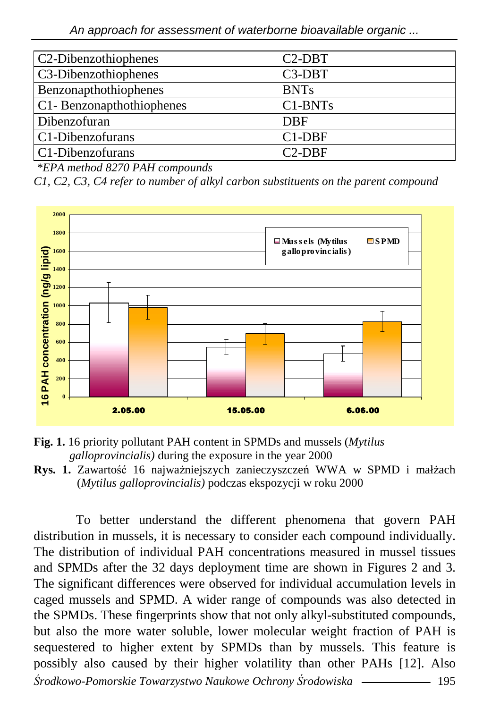| C <sub>2</sub> -Dibenzothiophenes | $C2-DBT$    |
|-----------------------------------|-------------|
| C <sub>3</sub> -Dibenzothiophenes | $C3-DBT$    |
| <b>Benzonapthothiophenes</b>      | <b>BNTs</b> |
| C1-Benzonapthothiophenes          | $C1-BNTs$   |
| Dibenzofuran                      | <b>DBF</b>  |
| C1-Dibenzofurans                  | $C1-DBF$    |
| C1-Dibenzofurans                  | $C2-DBF$    |

 *\*EPA method 8270 PAH compounds* 

*C1, C2, C3, C4 refer to number of alkyl carbon substituents on the parent compound* 





Rys. 1. Zawartość 16 najważniejszych zanieczyszczeń WWA w SPMD i małżach (*Mytilus galloprovincialis)* podczas ekspozycji w roku 2000

Ś*rodkowo-Pomorskie Towarzystwo Naukowe Ochrony* Ś*rodowiska* 195 To better understand the different phenomena that govern PAH distribution in mussels, it is necessary to consider each compound individually. The distribution of individual PAH concentrations measured in mussel tissues and SPMDs after the 32 days deployment time are shown in Figures 2 and 3. The significant differences were observed for individual accumulation levels in caged mussels and SPMD. A wider range of compounds was also detected in the SPMDs. These fingerprints show that not only alkyl-substituted compounds, but also the more water soluble, lower molecular weight fraction of PAH is sequestered to higher extent by SPMDs than by mussels. This feature is possibly also caused by their higher volatility than other PAHs [12]. Also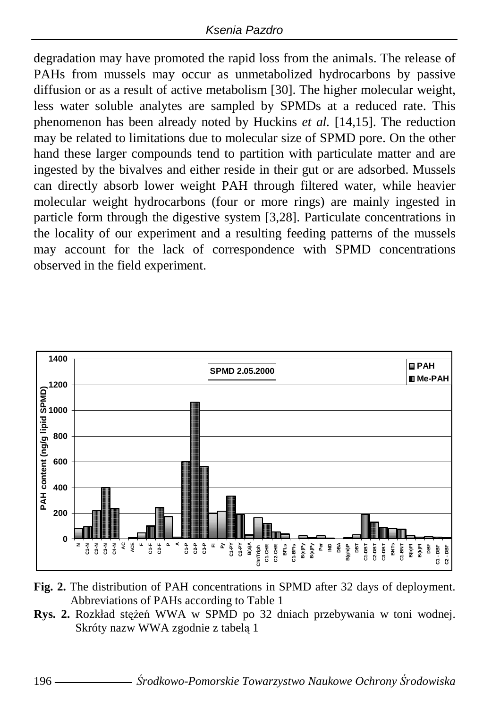degradation may have promoted the rapid loss from the animals. The release of PAHs from mussels may occur as unmetabolized hydrocarbons by passive diffusion or as a result of active metabolism [30]. The higher molecular weight, less water soluble analytes are sampled by SPMDs at a reduced rate. This phenomenon has been already noted by Huckins *et al.* [14,15]. The reduction may be related to limitations due to molecular size of SPMD pore. On the other hand these larger compounds tend to partition with particulate matter and are ingested by the bivalves and either reside in their gut or are adsorbed. Mussels can directly absorb lower weight PAH through filtered water, while heavier molecular weight hydrocarbons (four or more rings) are mainly ingested in particle form through the digestive system [3,28]. Particulate concentrations in the locality of our experiment and a resulting feeding patterns of the mussels may account for the lack of correspondence with SPMD concentrations observed in the field experiment.



- **Fig. 2.** The distribution of PAH concentrations in SPMD after 32 days of deployment. Abbreviations of PAHs according to Table 1
- **Rys. 2.** Rozkład stężeń WWA w SPMD po 32 dniach przebywania w toni wodnej. Skróty nazw WWA zgodnie z tabelą 1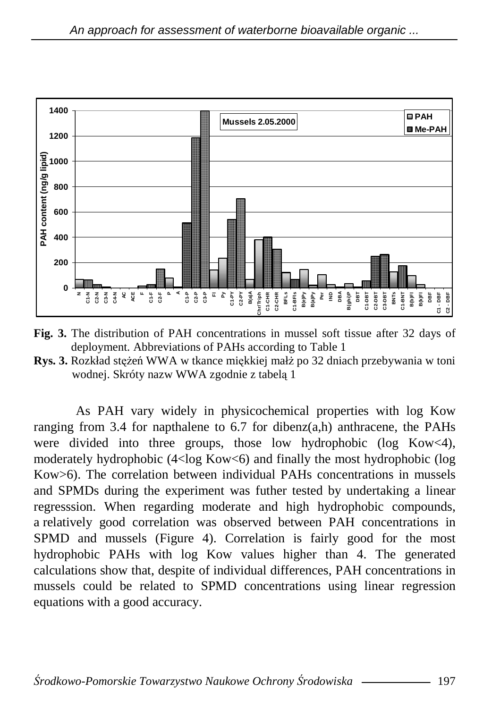

**Fig. 3.** The distribution of PAH concentrations in mussel soft tissue after 32 days of deployment. Abbreviations of PAHs according to Table 1

**Rys. 3.** Rozkład stężeń WWA w tkance miękkiej małż po 32 dniach przebywania w toni wodnej. Skróty nazw WWA zgodnie z tabelą 1

As PAH vary widely in physicochemical properties with log Kow ranging from 3.4 for napthalene to 6.7 for dibenz $(a,h)$  anthracene, the PAHs were divided into three groups, those low hydrophobic (log Kow<4), moderately hydrophobic (4<log Kow<6) and finally the most hydrophobic (log Kow>6). The correlation between individual PAHs concentrations in mussels and SPMDs during the experiment was futher tested by undertaking a linear regresssion. When regarding moderate and high hydrophobic compounds, a relatively good correlation was observed between PAH concentrations in SPMD and mussels (Figure 4). Correlation is fairly good for the most hydrophobic PAHs with log Kow values higher than 4. The generated calculations show that, despite of individual differences, PAH concentrations in mussels could be related to SPMD concentrations using linear regression equations with a good accuracy.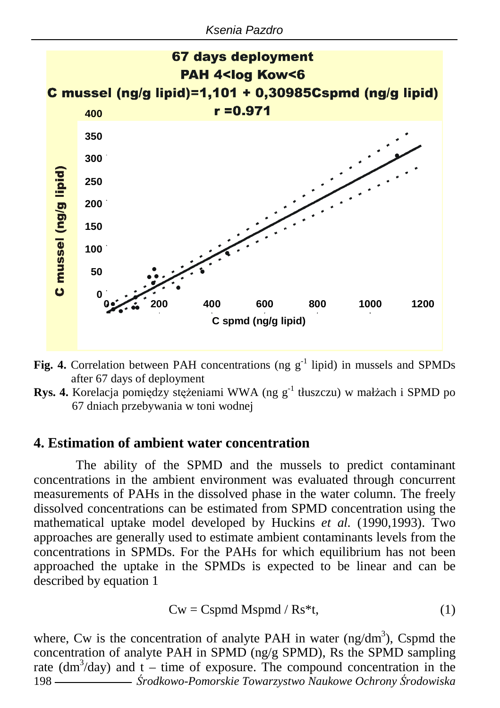

- **Fig. 4.** Correlation between PAH concentrations (ng  $g^{-1}$  lipid) in mussels and SPMDs after 67 days of deployment
- **Rys. 4.** Korelacja pomiędzy stężeniami WWA (ng g<sup>-1</sup> tłuszczu) w małżach i SPMD po 67 dniach przebywania w toni wodnej

#### **4. Estimation of ambient water concentration**

The ability of the SPMD and the mussels to predict contaminant concentrations in the ambient environment was evaluated through concurrent measurements of PAHs in the dissolved phase in the water column. The freely dissolved concentrations can be estimated from SPMD concentration using the mathematical uptake model developed by Huckins *et al.* (1990,1993). Two approaches are generally used to estimate ambient contaminants levels from the concentrations in SPMDs. For the PAHs for which equilibrium has not been approached the uptake in the SPMDs is expected to be linear and can be described by equation 1

$$
Cw = Cspmd Mspmd / Rs^{*}t,
$$
 (1)

198 Ś*rodkowo-Pomorskie Towarzystwo Naukowe Ochrony* Ś*rodowiska* where, Cw is the concentration of analyte PAH in water (ng/dm<sup>3</sup>), Cspmd the concentration of analyte PAH in SPMD (ng/g SPMD), Rs the SPMD sampling rate  $(dm<sup>3</sup>/day)$  and  $t - time$  of exposure. The compound concentration in the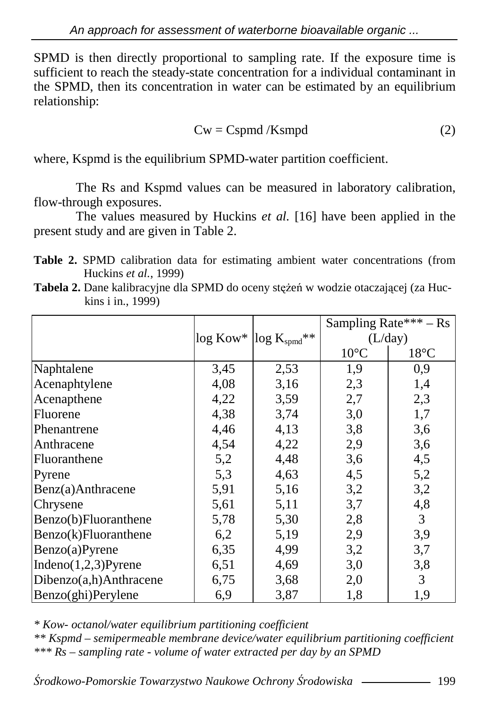SPMD is then directly proportional to sampling rate. If the exposure time is sufficient to reach the steady-state concentration for a individual contaminant in the SPMD, then its concentration in water can be estimated by an equilibrium relationship:

$$
Cw = Cspmd/Ksmpd
$$
 (2)

where, Kspmd is the equilibrium SPMD-water partition coefficient.

The Rs and Kspmd values can be measured in laboratory calibration, flow-through exposures.

The values measured by Huckins *et al.* [16] have been applied in the present study and are given in Table 2.

**Table 2.** SPMD calibration data for estimating ambient water concentrations (from Huckins *et al.*, 1999)

|                         |                                       |      |                | Sampling Rate*** - Rs |  |
|-------------------------|---------------------------------------|------|----------------|-----------------------|--|
|                         | $\log$ Kow* $\log K_{\text{spmd}}$ ** |      | (L/day)        |                       |  |
|                         |                                       |      | $10^{\circ}$ C | $18^{\circ}$ C        |  |
| Naphtalene              | 3,45                                  | 2,53 | 1,9            | 0,9                   |  |
| Acenaphtylene           | 4,08                                  | 3,16 | 2,3            | 1,4                   |  |
| Acenapthene             | 4,22                                  | 3,59 | 2,7            | 2,3                   |  |
| Fluorene                | 4,38                                  | 3,74 | 3,0            | 1,7                   |  |
| Phenantrene             | 4,46                                  | 4,13 | 3,8            | 3,6                   |  |
| Anthracene              | 4,54                                  | 4,22 | 2,9            | 3,6                   |  |
| Fluoranthene            | 5,2                                   | 4,48 | 3,6            | 4,5                   |  |
| Pyrene                  | 5,3                                   | 4,63 | 4,5            | 5,2                   |  |
| Benz(a)Anthracene       | 5,91                                  | 5,16 | 3,2            | 3,2                   |  |
| Chrysene                | 5,61                                  | 5,11 | 3,7            | 4,8                   |  |
| Benzo(b)Fluoranthene    | 5,78                                  | 5,30 | 2,8            | 3                     |  |
| Benzo(k)Fluoranthene    | 6,2                                   | 5,19 | 2,9            | 3,9                   |  |
| Benzo(a)Pyrene          | 6,35                                  | 4,99 | 3,2            | 3,7                   |  |
| Indeno $(1,2,3)$ Pyrene | 6,51                                  | 4,69 | 3,0            | 3,8                   |  |
| Dibenzo(a,h)Anthracene  | 6,75                                  | 3,68 | 2,0            | 3                     |  |
| Benzo(ghi)Perylene      | 6,9                                   | 3,87 | 1,8            | 1,9                   |  |

**Tabela 2.** Dane kalibracyjne dla SPMD do oceny stężeń w wodzie otaczającej (za Huckins i in., 1999)

*\* Kow- octanol/water equilibrium partitioning coefficient* 

*\*\* Kspmd – semipermeable membrane device/water equilibrium partitioning coefficient \*\*\* Rs – sampling rate - volume of water extracted per day by an SPMD*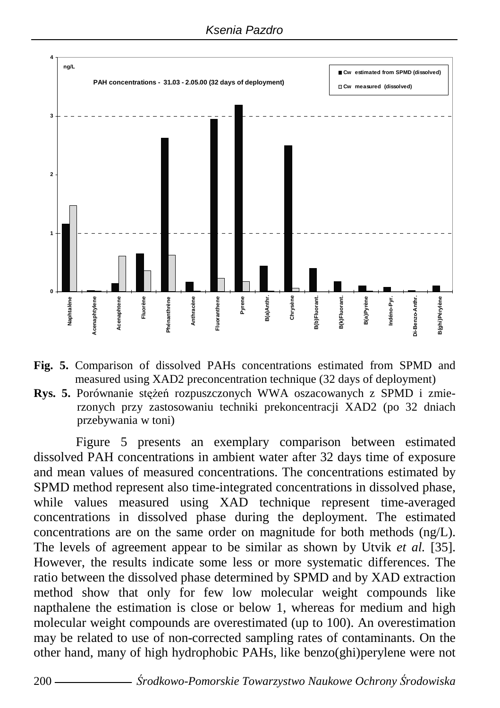

- **Fig. 5.** Comparison of dissolved PAHs concentrations estimated from SPMD and measured using XAD2 preconcentration technique (32 days of deployment)
- **Rys. 5.** Porównanie stężeń rozpuszczonych WWA oszacowanych z SPMD i zmierzonych przy zastosowaniu techniki prekoncentracji XAD2 (po 32 dniach przebywania w toni)

Figure 5 presents an exemplary comparison between estimated dissolved PAH concentrations in ambient water after 32 days time of exposure and mean values of measured concentrations. The concentrations estimated by SPMD method represent also time-integrated concentrations in dissolved phase, while values measured using XAD technique represent time-averaged concentrations in dissolved phase during the deployment. The estimated concentrations are on the same order on magnitude for both methods (ng/L). The levels of agreement appear to be similar as shown by Utvik *et al.* [35]. However, the results indicate some less or more systematic differences. The ratio between the dissolved phase determined by SPMD and by XAD extraction method show that only for few low molecular weight compounds like napthalene the estimation is close or below 1, whereas for medium and high molecular weight compounds are overestimated (up to 100). An overestimation may be related to use of non-corrected sampling rates of contaminants. On the other hand, many of high hydrophobic PAHs, like benzo(ghi)perylene were not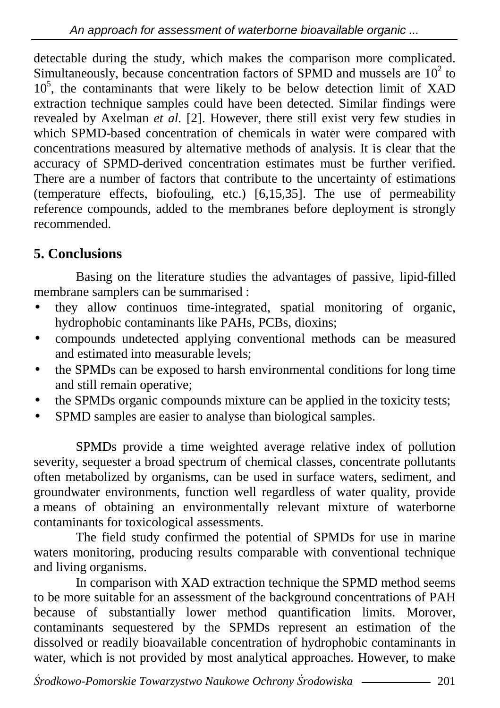detectable during the study, which makes the comparison more complicated. Simultaneously, because concentration factors of SPMD and mussels are  $10<sup>2</sup>$  to 10<sup>5</sup>, the contaminants that were likely to be below detection limit of XAD extraction technique samples could have been detected. Similar findings were revealed by Axelman *et al.* [2]. However, there still exist very few studies in which SPMD-based concentration of chemicals in water were compared with concentrations measured by alternative methods of analysis. It is clear that the accuracy of SPMD-derived concentration estimates must be further verified. There are a number of factors that contribute to the uncertainty of estimations (temperature effects, biofouling, etc.) [6,15,35]. The use of permeability reference compounds, added to the membranes before deployment is strongly recommended.

## **5. Conclusions**

Basing on the literature studies the advantages of passive, lipid-filled membrane samplers can be summarised :

- they allow continuos time-integrated, spatial monitoring of organic, hydrophobic contaminants like PAHs, PCBs, dioxins;
- compounds undetected applying conventional methods can be measured and estimated into measurable levels;
- the SPMDs can be exposed to harsh environmental conditions for long time and still remain operative;
- the SPMDs organic compounds mixture can be applied in the toxicity tests;
- SPMD samples are easier to analyse than biological samples.

SPMDs provide a time weighted average relative index of pollution severity, sequester a broad spectrum of chemical classes, concentrate pollutants often metabolized by organisms, can be used in surface waters, sediment, and groundwater environments, function well regardless of water quality, provide a means of obtaining an environmentally relevant mixture of waterborne contaminants for toxicological assessments.

The field study confirmed the potential of SPMDs for use in marine waters monitoring, producing results comparable with conventional technique and living organisms.

In comparison with XAD extraction technique the SPMD method seems to be more suitable for an assessment of the background concentrations of PAH because of substantially lower method quantification limits. Morover, contaminants sequestered by the SPMDs represent an estimation of the dissolved or readily bioavailable concentration of hydrophobic contaminants in water, which is not provided by most analytical approaches. However, to make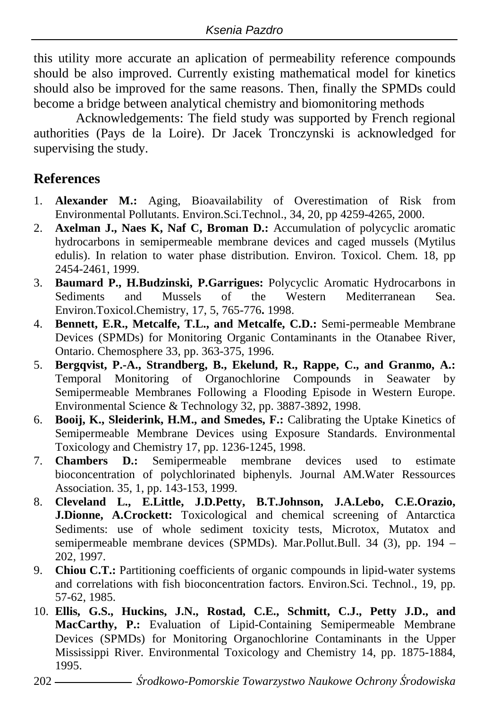this utility more accurate an aplication of permeability reference compounds should be also improved. Currently existing mathematical model for kinetics should also be improved for the same reasons. Then, finally the SPMDs could become a bridge between analytical chemistry and biomonitoring methods

Acknowledgements: The field study was supported by French regional authorities (Pays de la Loire). Dr Jacek Tronczynski is acknowledged for supervising the study.

## **References**

- 1. **Alexander M.:** Aging, Bioavailability of Overestimation of Risk from Environmental Pollutants. Environ.Sci.Technol., 34, 20, pp 4259-4265, 2000.
- 2. **Axelman J., Naes K, Naf C, Broman D.:** Accumulation of polycyclic aromatic hydrocarbons in semipermeable membrane devices and caged mussels (Mytilus edulis). In relation to water phase distribution. Environ. Toxicol. Chem. 18, pp 2454-2461, 1999.
- 3. **Baumard P., H.Budzinski, P.Garrigues:** Polycyclic Aromatic Hydrocarbons in Sediments and Mussels of the Western Mediterranean Sea. Environ.Toxicol.Chemistry, 17, 5, 765-776**.** 1998.
- 4. **Bennett, E.R., Metcalfe, T.L., and Metcalfe, C.D.:** Semi-permeable Membrane Devices (SPMDs) for Monitoring Organic Contaminants in the Otanabee River, Ontario. Chemosphere 33, pp. 363-375, 1996.
- 5. **Bergqvist, P.-A., Strandberg, B., Ekelund, R., Rappe, C., and Granmo, A.:** Temporal Monitoring of Organochlorine Compounds in Seawater by Semipermeable Membranes Following a Flooding Episode in Western Europe. Environmental Science & Technology 32, pp. 3887-3892, 1998.
- 6. **Booij, K., Sleiderink, H.M., and Smedes, F.:** Calibrating the Uptake Kinetics of Semipermeable Membrane Devices using Exposure Standards. Environmental Toxicology and Chemistry 17, pp. 1236-1245, 1998.
- 7. **Chambers D.:** Semipermeable membrane devices used to estimate bioconcentration of polychlorinated biphenyls. Journal AM.Water Ressources Association. 35, 1, pp. 143-153, 1999.
- 8. **Cleveland L., E.Little, J.D.Petty, B.T.Johnson, J.A.Lebo, C.E.Orazio, J.Dionne, A.Crockett:** Toxicological and chemical screening of Antarctica Sediments: use of whole sediment toxicity tests, Microtox, Mutatox and semipermeable membrane devices (SPMDs). Mar.Pollut.Bull. 34 (3), pp. 194 – 202, 1997.
- 9. **Chiou C.T.:** Partitioning coefficients of organic compounds in lipid-water systems and correlations with fish bioconcentration factors. Environ.Sci. Technol., 19, pp. 57-62, 1985.
- 10. **Ellis, G.S., Huckins, J.N., Rostad, C.E., Schmitt, C.J., Petty J.D., and MacCarthy, P.:** Evaluation of Lipid-Containing Semipermeable Membrane Devices (SPMDs) for Monitoring Organochlorine Contaminants in the Upper Mississippi River. Environmental Toxicology and Chemistry 14, pp. 1875-1884, 1995.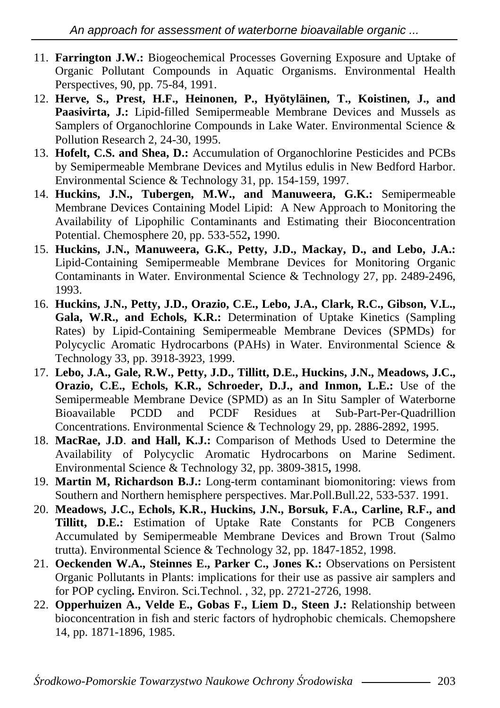- 11. **Farrington J.W.:** Biogeochemical Processes Governing Exposure and Uptake of Organic Pollutant Compounds in Aquatic Organisms. Environmental Health Perspectives, 90, pp. 75-84, 1991.
- 12. **Herve, S., Prest, H.F., Heinonen, P., Hyötyläinen, T., Koistinen, J., and Paasivirta, J.:** Lipid-filled Semipermeable Membrane Devices and Mussels as Samplers of Organochlorine Compounds in Lake Water. Environmental Science & Pollution Research 2, 24-30, 1995.
- 13. **Hofelt, C.S. and Shea, D.:** Accumulation of Organochlorine Pesticides and PCBs by Semipermeable Membrane Devices and Mytilus edulis in New Bedford Harbor. Environmental Science & Technology 31, pp. 154-159, 1997.
- 14. **Huckins, J.N., Tubergen, M.W., and Manuweera, G.K.:** Semipermeable Membrane Devices Containing Model Lipid: A New Approach to Monitoring the Availability of Lipophilic Contaminants and Estimating their Bioconcentration Potential. Chemosphere 20, pp. 533-552**,** 1990.
- 15. **Huckins, J.N., Manuweera, G.K., Petty, J.D., Mackay, D., and Lebo, J.A.:** Lipid-Containing Semipermeable Membrane Devices for Monitoring Organic Contaminants in Water. Environmental Science & Technology 27, pp. 2489-2496, 1993.
- 16. **Huckins, J.N., Petty, J.D., Orazio, C.E., Lebo, J.A., Clark, R.C., Gibson, V.L., Gala, W.R., and Echols, K.R.:** Determination of Uptake Kinetics (Sampling Rates) by Lipid-Containing Semipermeable Membrane Devices (SPMDs) for Polycyclic Aromatic Hydrocarbons (PAHs) in Water. Environmental Science & Technology 33, pp. 3918-3923, 1999.
- 17. **Lebo, J.A., Gale, R.W., Petty, J.D., Tillitt, D.E., Huckins, J.N., Meadows, J.C., Orazio, C.E., Echols, K.R., Schroeder, D.J., and Inmon, L.E.:** Use of the Semipermeable Membrane Device (SPMD) as an In Situ Sampler of Waterborne Bioavailable PCDD and PCDF Residues at Sub-Part-Per-Quadrillion Concentrations. Environmental Science & Technology 29, pp. 2886-2892, 1995.
- 18. **MacRae, J.D**. **and Hall, K.J.:** Comparison of Methods Used to Determine the Availability of Polycyclic Aromatic Hydrocarbons on Marine Sediment. Environmental Science & Technology 32, pp. 3809-3815**,** 1998.
- 19. **Martin M, Richardson B.J.:** Long-term contaminant biomonitoring: views from Southern and Northern hemisphere perspectives. Mar.Poll.Bull.22, 533-537. 1991.
- 20. **Meadows, J.C., Echols, K.R., Huckins, J.N., Borsuk, F.A., Carline, R.F., and Tillitt, D.E.:** Estimation of Uptake Rate Constants for PCB Congeners Accumulated by Semipermeable Membrane Devices and Brown Trout (Salmo trutta). Environmental Science & Technology 32, pp. 1847-1852, 1998.
- 21. **Oeckenden W.A., Steinnes E., Parker C., Jones K.:** Observations on Persistent Organic Pollutants in Plants: implications for their use as passive air samplers and for POP cycling**.** Environ. Sci.Technol. , 32, pp. 2721-2726, 1998.
- 22. **Opperhuizen A., Velde E., Gobas F., Liem D., Steen J.:** Relationship between bioconcentration in fish and steric factors of hydrophobic chemicals. Chemopshere 14, pp. 1871-1896, 1985.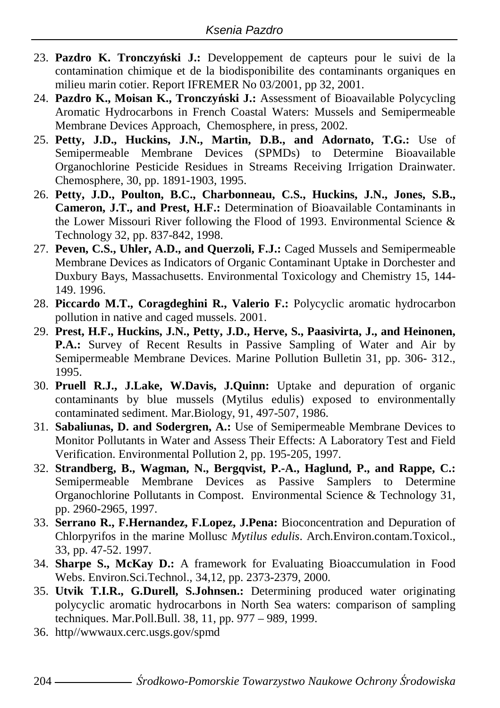- 23. **Pazdro K. Tronczy**ń**ski J.:** Developpement de capteurs pour le suivi de la contamination chimique et de la biodisponibilite des contaminants organiques en milieu marin cotier. Report IFREMER No 03/2001, pp 32, 2001.
- 24. **Pazdro K., Moisan K., Tronczy**ń**ski J.:** Assessment of Bioavailable Polycycling Aromatic Hydrocarbons in French Coastal Waters: Mussels and Semipermeable Membrane Devices Approach, Chemosphere, in press, 2002.
- 25. **Petty, J.D., Huckins, J.N., Martin, D.B., and Adornato, T.G.:** Use of Semipermeable Membrane Devices (SPMDs) to Determine Bioavailable Organochlorine Pesticide Residues in Streams Receiving Irrigation Drainwater. Chemosphere, 30, pp. 1891-1903, 1995.
- 26. **Petty, J.D., Poulton, B.C., Charbonneau, C.S., Huckins, J.N., Jones, S.B., Cameron, J.T., and Prest, H.F.:** Determination of Bioavailable Contaminants in the Lower Missouri River following the Flood of 1993. Environmental Science & Technology 32, pp. 837-842, 1998.
- 27. **Peven, C.S., Uhler, A.D., and Querzoli, F.J.:** Caged Mussels and Semipermeable Membrane Devices as Indicators of Organic Contaminant Uptake in Dorchester and Duxbury Bays, Massachusetts. Environmental Toxicology and Chemistry 15, 144- 149. 1996.
- 28. **Piccardo M.T., Coragdeghini R., Valerio F.:** Polycyclic aromatic hydrocarbon pollution in native and caged mussels. 2001.
- 29. **Prest, H.F., Huckins, J.N., Petty, J.D., Herve, S., Paasivirta, J., and Heinonen, P.A.:** Survey of Recent Results in Passive Sampling of Water and Air by Semipermeable Membrane Devices. Marine Pollution Bulletin 31, pp. 306- 312., 1995.
- 30. **Pruell R.J., J.Lake, W.Davis, J.Quinn:** Uptake and depuration of organic contaminants by blue mussels (Mytilus edulis) exposed to environmentally contaminated sediment. Mar.Biology, 91, 497-507, 1986.
- 31. **Sabaliunas, D. and Sodergren, A.:** Use of Semipermeable Membrane Devices to Monitor Pollutants in Water and Assess Their Effects: A Laboratory Test and Field Verification. Environmental Pollution 2, pp. 195-205, 1997.
- 32. **Strandberg, B., Wagman, N., Bergqvist, P.-A., Haglund, P., and Rappe, C.:** Semipermeable Membrane Devices as Passive Samplers to Determine Organochlorine Pollutants in Compost. Environmental Science & Technology 31, pp. 2960-2965, 1997.
- 33. **Serrano R., F.Hernandez, F.Lopez, J.Pena:** Bioconcentration and Depuration of Chlorpyrifos in the marine Mollusc *Mytilus edulis*. Arch.Environ.contam.Toxicol., 33, pp. 47-52. 1997.
- 34. **Sharpe S., McKay D.:** A framework for Evaluating Bioaccumulation in Food Webs. Environ.Sci.Technol., 34,12, pp. 2373-2379, 2000.
- 35. **Utvik T.I.R., G.Durell, S.Johnsen.:** Determining produced water originating polycyclic aromatic hydrocarbons in North Sea waters: comparison of sampling techniques. Mar.Poll.Bull. 38, 11, pp. 977 – 989, 1999.
- 36. http//wwwaux.cerc.usgs.gov/spmd